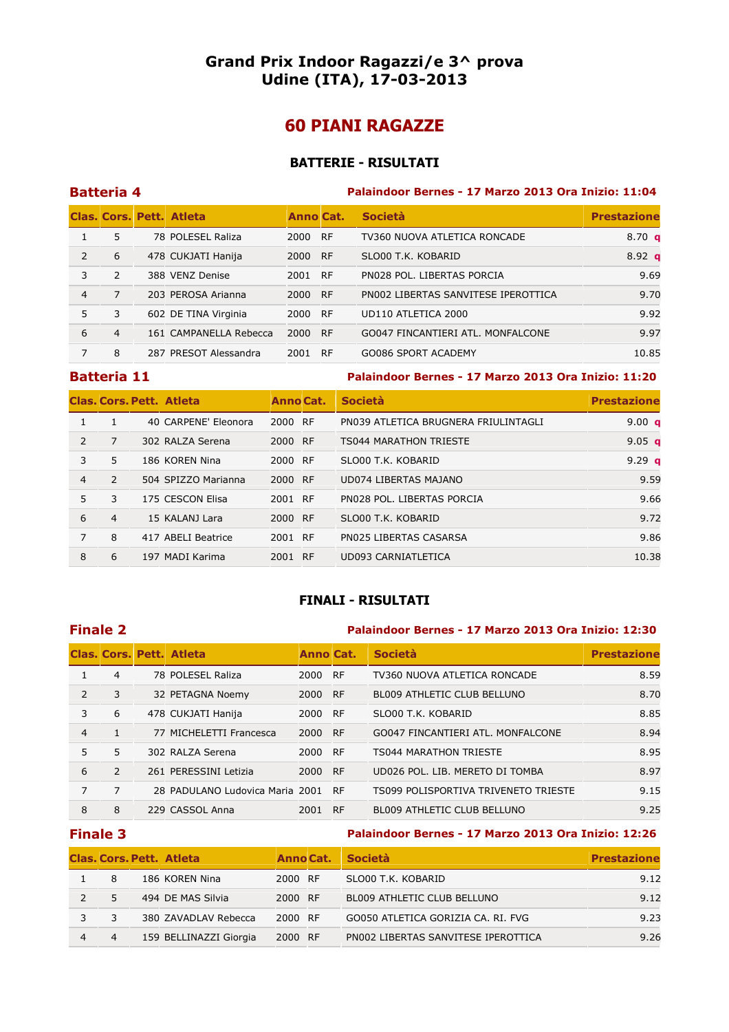# Grand Prix Indoor Ragazzi/e 3^ prova Udine (ITA), 17-03-2013

# 60 PIANI RAGAZZE

### BATTERIE - RISULTATI

|   | <b>Batteria 4</b> |                          |                  |           | Palaindoor Bernes - 17 Marzo 2013 Ora Inizio: 11:04 |                    |  |  |  |
|---|-------------------|--------------------------|------------------|-----------|-----------------------------------------------------|--------------------|--|--|--|
|   |                   | Clas. Cors. Pett. Atleta | <b>Anno Cat.</b> |           | <b>Società</b>                                      | <b>Prestazione</b> |  |  |  |
|   | 5                 | 78 POLESEL Raliza        | 2000             | <b>RF</b> | TV360 NUOVA ATLETICA RONCADE                        | 8.70 <sub>a</sub>  |  |  |  |
| 2 | 6                 | 478 CUKJATI Hanija       | 2000             | <b>RF</b> | SLO00 T.K. KOBARID                                  | $8.92$ q           |  |  |  |
| 3 | 2                 | 388 VENZ Denise          | 2001             | <b>RF</b> | PN028 POL. LIBERTAS PORCIA                          | 9.69               |  |  |  |
| 4 | 7                 | 203 PEROSA Arianna       | 2000             | <b>RF</b> | PN002 LIBERTAS SANVITESE IPEROTTICA                 | 9.70               |  |  |  |
| 5 | 3                 | 602 DE TINA Virginia     | 2000             | <b>RF</b> | UD110 ATLETICA 2000                                 | 9.92               |  |  |  |
| 6 | $\overline{4}$    | 161 CAMPANELLA Rebecca   | 2000             | RF        | GO047 FINCANTIERI ATL. MONFALCONE                   | 9.97               |  |  |  |
| 7 | 8                 | 287 PRESOT Alessandra    | 2001             | <b>RF</b> | GO086 SPORT ACADEMY                                 | 10.85              |  |  |  |

### Batteria 11 Palaindoor Bernes - 17 Marzo 2013 Ora Inizio: 11:20

|                |                | <b>Clas. Cors. Pett. Atleta</b> | Anno Cat. | <b>Società</b>                       | <b>Prestazione</b> |
|----------------|----------------|---------------------------------|-----------|--------------------------------------|--------------------|
|                |                | 40 CARPENE' Eleonora            | 2000 RF   | PN039 ATLETICA BRUGNERA FRIULINTAGLI | 9.00 $q$           |
| $\mathcal{P}$  | 7              | 302 RALZA Serena                | 2000 RF   | <b>TS044 MARATHON TRIESTE</b>        | 9.05 $q$           |
| 3              | 5              | 186 KOREN Nina                  | 2000 RF   | SLO00 T.K. KOBARID                   | 9.29 $q$           |
| $\overline{4}$ | $\mathcal{P}$  | 504 SPIZZO Marianna             | 2000 RF   | UD074 LIBERTAS MAJANO                | 9.59               |
| 5.             | 3              | 175 CESCON Elisa                | 2001 RF   | PN028 POL. LIBERTAS PORCIA           | 9.66               |
| 6              | $\overline{4}$ | 15 KALANJ Lara                  | 2000 RF   | SLO00 T.K. KOBARID                   | 9.72               |
| 7              | 8              | 417 ABELI Beatrice              | 2001 RF   | PN025 LIBERTAS CASARSA               | 9.86               |
| 8              | 6              | 197 MADI Karima                 | 2001 RF   | UD093 CARNIATLETICA                  | 10.38              |

# FINALI - RISULTATI

### Finale 2 Palaindoor Bernes - 17 Marzo 2013 Ora Inizio: 12:30

|               |               | <b>Clas, Cors, Pett, Atleta</b> | <b>Anno Cat.</b> |           | <b>Società</b>                       | <b>Prestazione</b> |
|---------------|---------------|---------------------------------|------------------|-----------|--------------------------------------|--------------------|
|               | 4             | 78 POLESEL Raliza               | 2000 RF          |           | TV360 NUOVA ATLETICA RONCADE         | 8.59               |
| $\mathcal{P}$ | 3             | 32 PETAGNA Noemy                | 2000             | - RF      | <b>BL009 ATHLETIC CLUB BELLUNO</b>   | 8.70               |
| 3             | 6             | 478 CUKJATI Hanija              | 2000             | <b>RF</b> | SLO00 T.K. KOBARID                   | 8.85               |
| 4             |               | 77 MICHELETTI Francesca         | 2000 RF          |           | GO047 FINCANTIERI ATL. MONFALCONE    | 8.94               |
| 5.            | 5             | 302 RALZA Serena                | 2000 RF          |           | <b>TS044 MARATHON TRIESTE</b>        | 8.95               |
| 6             | $\mathcal{P}$ | 261 PERESSINI Letizia           | 2000 RF          |           | UD026 POL. LIB. MERETO DI TOMBA      | 8.97               |
| 7             | 7             | 28 PADULANO Ludovica Maria 2001 |                  | - RF      | TS099 POLISPORTIVA TRIVENETO TRIESTE | 9.15               |
| 8             | 8             | 229 CASSOL Anna                 | 2001             | <b>RF</b> | BL009 ATHLETIC CLUB BELLUNO          | 9.25               |

### Finale 3 Palaindoor Bernes - 17 Marzo 2013 Ora Inizio: 12:26

|   | <b>Clas, Cors, Pett. Atleta</b> |         | Anno Cat. Società                   | <b>Prestazione</b> |
|---|---------------------------------|---------|-------------------------------------|--------------------|
| 8 | 186 KOREN Nina                  | 2000 RF | SLO00 T.K. KOBARID                  | 9.12               |
|   | 494 DE MAS Silvia               | 2000 RF | BL009 ATHLETIC CLUB BELLUNO         | 9.12               |
|   | 380 ZAVADLAV Rebecca            | 2000 RF | GO050 ATLETICA GORIZIA CA. RI. FVG  | 9.23               |
|   | 159 BELLINAZZI Giorgia          | 2000 RF | PN002 LIBERTAS SANVITESE IPEROTTICA | 9.26               |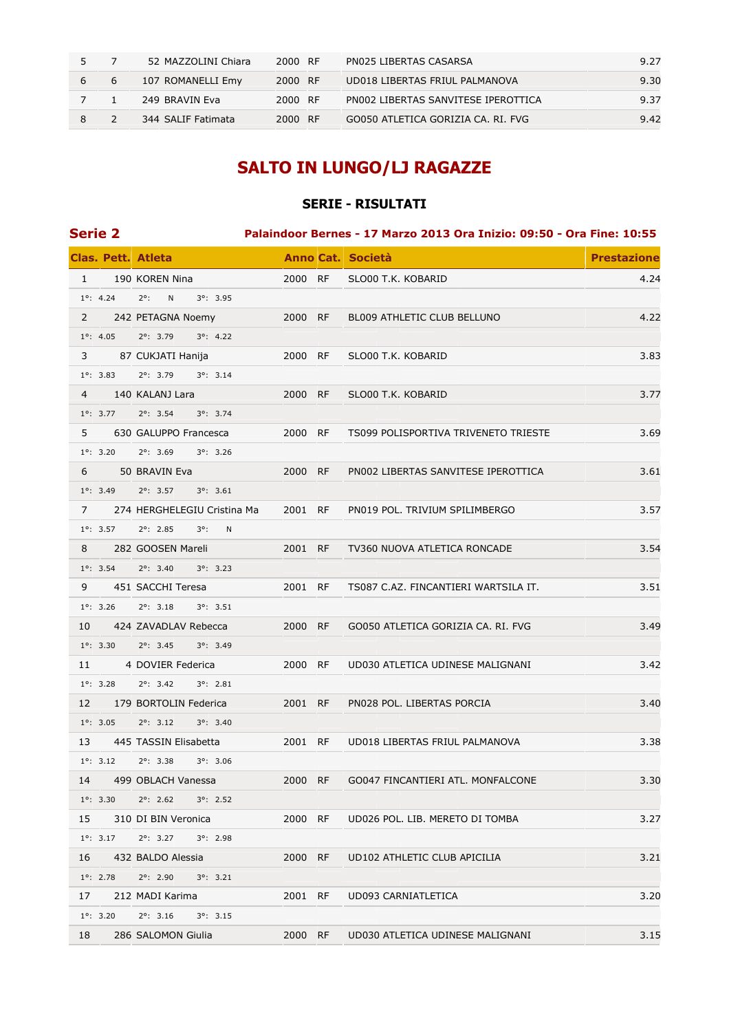|   |   | 52 MAZZOLINI Chiara | 2000 RF | PN025 LIBERTAS CASARSA              | 9.27 |
|---|---|---------------------|---------|-------------------------------------|------|
| 6 | ь | 107 ROMANELLI Emy   | 2000 RF | UD018 LIBERTAS FRIUL PALMANOVA      | 9.30 |
|   |   | 249 BRAVIN Eva      | 2000 RF | PN002 LIBERTAS SANVITESE IPEROTTICA | 9.37 |
|   |   | 344 SALIF Fatimata  | 2000 RF | GO050 ATLETICA GORIZIA CA. RI. FVG  | 9.42 |

# SALTO IN LUNGO/LJ RAGAZZE

# SERIE - RISULTATI

| <b>Serie 2</b> |                    |                                          |         | Palaindoor Bernes - 17 Marzo 2013 Ora Inizio: 09:50 - Ora Fine: 10:55 |                    |
|----------------|--------------------|------------------------------------------|---------|-----------------------------------------------------------------------|--------------------|
|                |                    | <b>Clas. Pett. Atleta</b>                |         | Anno Cat. Società                                                     | <b>Prestazione</b> |
| $\mathbf{1}$   |                    | 190 KOREN Nina                           | 2000 RF | SLO00 T.K. KOBARID                                                    | 4.24               |
|                | $1^{\circ}$ : 4.24 | $2^{\circ}$ :<br>N<br>$3^{\circ}$ : 3.95 |         |                                                                       |                    |
| $\mathbf{2}$   |                    | 242 PETAGNA Noemy                        | 2000 RF | BL009 ATHLETIC CLUB BELLUNO                                           | 4.22               |
|                | $1^\circ$ : 4.05   | $2^{\circ}$ : 3.79<br>$3^{\circ}$ : 4.22 |         |                                                                       |                    |
| 3              |                    | 87 CUKJATI Hanija                        | 2000 RF | SLO00 T.K. KOBARID                                                    | 3.83               |
|                | $1^{\circ}$ : 3.83 | $2^{\circ}$ : 3.79<br>$3^{\circ}$ : 3.14 |         |                                                                       |                    |
| $\overline{4}$ |                    | 140 KALANJ Lara                          | 2000 RF | SLO00 T.K. KOBARID                                                    | 3.77               |
|                | $1^{\circ}$ : 3.77 | $2^{\circ}$ : 3.54<br>$3^{\circ}$ : 3.74 |         |                                                                       |                    |
| 5              |                    | 630 GALUPPO Francesca                    | 2000 RF | TS099 POLISPORTIVA TRIVENETO TRIESTE                                  | 3.69               |
|                | $1^{\circ}$ : 3.20 | $2^{\circ}$ : 3.69<br>$3^{\circ}$ : 3.26 |         |                                                                       |                    |
| 6              |                    | 50 BRAVIN Eva                            | 2000 RF | PN002 LIBERTAS SANVITESE IPEROTTICA                                   | 3.61               |
|                | $1^{\circ}$ : 3.49 | $2^{\circ}$ : 3.57<br>$3^{\circ}$ : 3.61 |         |                                                                       |                    |
| $7^{\circ}$    |                    | 274 HERGHELEGIU Cristina Ma              | 2001 RF | PN019 POL. TRIVIUM SPILIMBERGO                                        | 3.57               |
|                | $1^{\circ}$ : 3.57 | $2^{\circ}$ : 2.85<br>$3^\circ$ :<br>N   |         |                                                                       |                    |
| 8              |                    | 282 GOOSEN Mareli                        | 2001 RF | TV360 NUOVA ATLETICA RONCADE                                          | 3.54               |
|                | $1^{\circ}$ : 3.54 | $2^{\circ}$ : 3.40<br>$3^{\circ}$ : 3.23 |         |                                                                       |                    |
| 9              |                    | 451 SACCHI Teresa                        | 2001 RF | TS087 C.AZ. FINCANTIERI WARTSILA IT.                                  | 3.51               |
|                | $1^{\circ}$ : 3.26 | $2^{\circ}$ : 3.18<br>$3^{\circ}$ : 3.51 |         |                                                                       |                    |
| 10             |                    | 424 ZAVADLAV Rebecca                     | 2000 RF | GO050 ATLETICA GORIZIA CA. RI. FVG                                    | 3.49               |
|                | $1^{\circ}$ : 3.30 | $2^{\circ}$ : 3.45<br>$3^{\circ}$ : 3.49 |         |                                                                       |                    |
| 11             |                    | 4 DOVIER Federica                        | 2000 RF | UD030 ATLETICA UDINESE MALIGNANI                                      | 3.42               |
|                | $1^{\circ}$ : 3.28 | $2^{\circ}$ : 3.42<br>$3^{\circ}$ : 2.81 |         |                                                                       |                    |
| 12             |                    | 179 BORTOLIN Federica                    | 2001 RF | PN028 POL. LIBERTAS PORCIA                                            | 3.40               |
|                | $1^{\circ}$ : 3.05 | $2^{\circ}$ : 3.12<br>$3^{\circ}$ : 3.40 |         |                                                                       |                    |
| 13             |                    | 445 TASSIN Elisabetta                    | 2001 RF | UD018 LIBERTAS FRIUL PALMANOVA                                        | 3.38               |
|                | $1^{\circ}$ : 3.12 | $2^{\circ}$ : 3.38<br>$3^{\circ}$ : 3.06 |         |                                                                       |                    |
| 14             |                    | 499 OBLACH Vanessa                       | 2000 RF | GO047 FINCANTIERI ATL. MONFALCONE                                     | 3.30               |
|                | $1^{\circ}$ : 3.30 | $2^{\circ}$ : 2.62<br>$3^{\circ}$ : 2.52 |         |                                                                       |                    |
| 15             |                    | 310 DI BIN Veronica                      | 2000 RF | UD026 POL. LIB. MERETO DI TOMBA                                       | 3.27               |
|                | $1^{\circ}$ : 3.17 | $2^{\circ}$ : 3.27<br>$3^{\circ}$ : 2.98 |         |                                                                       |                    |
| 16             |                    | 432 BALDO Alessia                        | 2000 RF | UD102 ATHLETIC CLUB APICILIA                                          | 3.21               |
|                | $1^{\circ}$ : 2.78 | $2^{\circ}$ : 2.90<br>$3^{\circ}$ : 3.21 |         |                                                                       |                    |
| 17             |                    | 212 MADI Karima                          | 2001 RF | UD093 CARNIATLETICA                                                   | 3.20               |
|                | $1^{\circ}$ : 3.20 | $2^{\circ}$ : 3.16<br>$3^{\circ}$ : 3.15 |         |                                                                       |                    |
| 18             |                    | 286 SALOMON Giulia                       | 2000 RF | UD030 ATLETICA UDINESE MALIGNANI                                      | 3.15               |